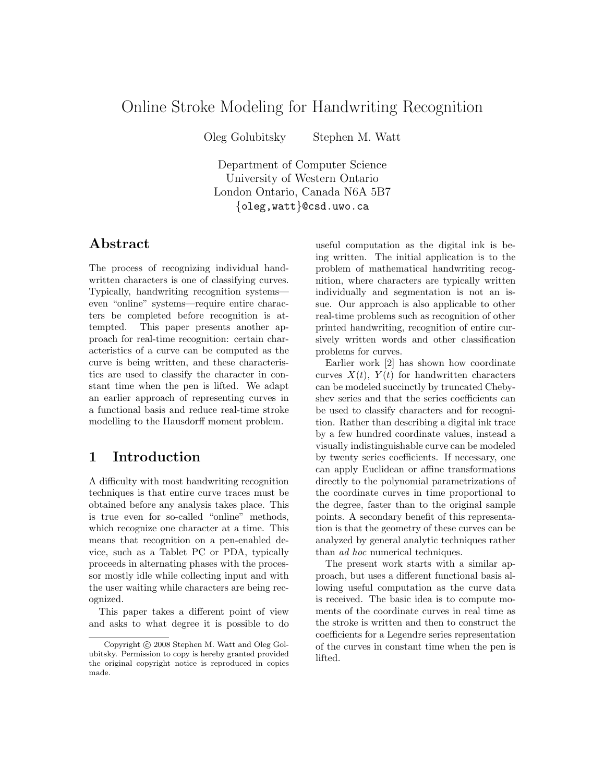# Online Stroke Modeling for Handwriting Recognition

Oleg Golubitsky Stephen M. Watt

Department of Computer Science University of Western Ontario London Ontario, Canada N6A 5B7 {oleg,watt}@csd.uwo.ca

### Abstract

The process of recognizing individual handwritten characters is one of classifying curves. Typically, handwriting recognition systems even "online" systems—require entire characters be completed before recognition is attempted. This paper presents another approach for real-time recognition: certain characteristics of a curve can be computed as the curve is being written, and these characteristics are used to classify the character in constant time when the pen is lifted. We adapt an earlier approach of representing curves in a functional basis and reduce real-time stroke modelling to the Hausdorff moment problem.

## 1 Introduction

A difficulty with most handwriting recognition techniques is that entire curve traces must be obtained before any analysis takes place. This is true even for so-called "online" methods, which recognize one character at a time. This means that recognition on a pen-enabled device, such as a Tablet PC or PDA, typically proceeds in alternating phases with the processor mostly idle while collecting input and with the user waiting while characters are being recognized.

This paper takes a different point of view and asks to what degree it is possible to do

useful computation as the digital ink is being written. The initial application is to the problem of mathematical handwriting recognition, where characters are typically written individually and segmentation is not an issue. Our approach is also applicable to other real-time problems such as recognition of other printed handwriting, recognition of entire cursively written words and other classification problems for curves.

Earlier work [2] has shown how coordinate curves  $X(t)$ ,  $Y(t)$  for handwritten characters can be modeled succinctly by truncated Chebyshev series and that the series coefficients can be used to classify characters and for recognition. Rather than describing a digital ink trace by a few hundred coordinate values, instead a visually indistinguishable curve can be modeled by twenty series coefficients. If necessary, one can apply Euclidean or affine transformations directly to the polynomial parametrizations of the coordinate curves in time proportional to the degree, faster than to the original sample points. A secondary benefit of this representation is that the geometry of these curves can be analyzed by general analytic techniques rather than ad hoc numerical techniques.

The present work starts with a similar approach, but uses a different functional basis allowing useful computation as the curve data is received. The basic idea is to compute moments of the coordinate curves in real time as the stroke is written and then to construct the coefficients for a Legendre series representation of the curves in constant time when the pen is lifted.

Copyright (c) 2008 Stephen M. Watt and Oleg Golubitsky. Permission to copy is hereby granted provided the original copyright notice is reproduced in copies made.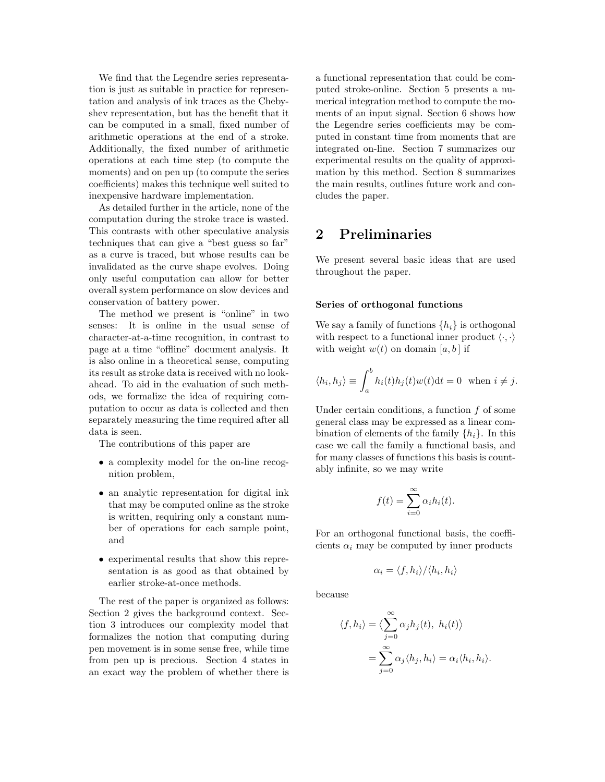We find that the Legendre series representation is just as suitable in practice for representation and analysis of ink traces as the Chebyshev representation, but has the benefit that it can be computed in a small, fixed number of arithmetic operations at the end of a stroke. Additionally, the fixed number of arithmetic operations at each time step (to compute the moments) and on pen up (to compute the series coefficients) makes this technique well suited to inexpensive hardware implementation.

As detailed further in the article, none of the computation during the stroke trace is wasted. This contrasts with other speculative analysis techniques that can give a "best guess so far" as a curve is traced, but whose results can be invalidated as the curve shape evolves. Doing only useful computation can allow for better overall system performance on slow devices and conservation of battery power.

The method we present is "online" in two senses: It is online in the usual sense of character-at-a-time recognition, in contrast to page at a time "offline" document analysis. It is also online in a theoretical sense, computing its result as stroke data is received with no lookahead. To aid in the evaluation of such methods, we formalize the idea of requiring computation to occur as data is collected and then separately measuring the time required after all data is seen.

The contributions of this paper are

- a complexity model for the on-line recognition problem,
- an analytic representation for digital ink that may be computed online as the stroke is written, requiring only a constant number of operations for each sample point, and
- experimental results that show this representation is as good as that obtained by earlier stroke-at-once methods.

The rest of the paper is organized as follows: Section 2 gives the background context. Section 3 introduces our complexity model that formalizes the notion that computing during pen movement is in some sense free, while time from pen up is precious. Section 4 states in an exact way the problem of whether there is a functional representation that could be computed stroke-online. Section 5 presents a numerical integration method to compute the moments of an input signal. Section 6 shows how the Legendre series coefficients may be computed in constant time from moments that are integrated on-line. Section 7 summarizes our experimental results on the quality of approximation by this method. Section 8 summarizes the main results, outlines future work and concludes the paper.

## 2 Preliminaries

We present several basic ideas that are used throughout the paper.

#### Series of orthogonal functions

We say a family of functions  $\{h_i\}$  is orthogonal with respect to a functional inner product  $\langle \cdot, \cdot \rangle$ with weight  $w(t)$  on domain [a, b] if

$$
\langle h_i, h_j \rangle \equiv \int_a^b h_i(t)h_j(t)w(t)dt = 0 \text{ when } i \neq j.
$$

Under certain conditions, a function  $f$  of some general class may be expressed as a linear combination of elements of the family  $\{h_i\}$ . In this case we call the family a functional basis, and for many classes of functions this basis is countably infinite, so we may write

$$
f(t) = \sum_{i=0}^{\infty} \alpha_i h_i(t).
$$

For an orthogonal functional basis, the coefficients  $\alpha_i$  may be computed by inner products

$$
\alpha_i = \langle f, h_i \rangle / \langle h_i, h_i \rangle
$$

because

$$
\langle f, h_i \rangle = \langle \sum_{j=0}^{\infty} \alpha_j h_j(t), h_i(t) \rangle
$$

$$
= \sum_{j=0}^{\infty} \alpha_j \langle h_j, h_i \rangle = \alpha_i \langle h_i, h_i \rangle.
$$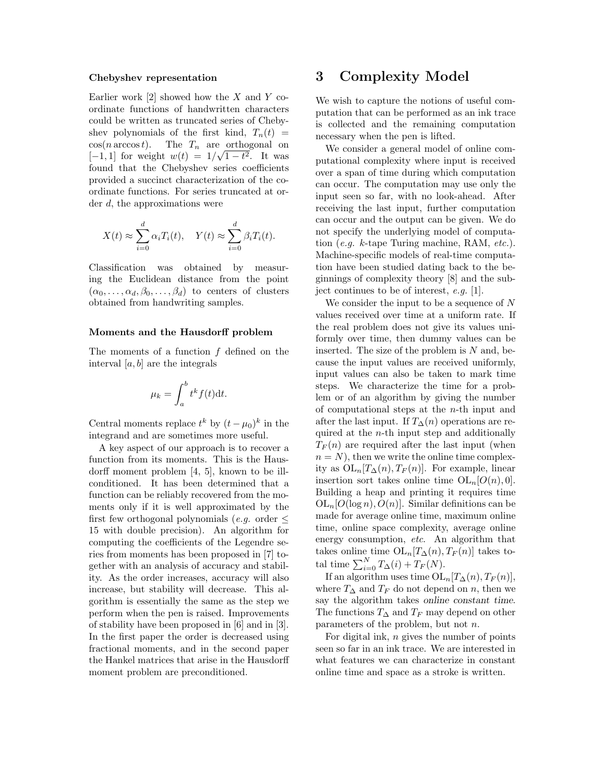#### Chebyshev representation

Earlier work  $[2]$  showed how the X and Y coordinate functions of handwritten characters could be written as truncated series of Chebyshev polynomials of the first kind,  $T_n(t)$  =  $cos(n \arccos t)$ . The  $T_n$  are orthogonal on  $[-1, 1]$  for weight  $w(t) = 1/\sqrt{1-t^2}$ . It was found that the Chebyshev series coefficients provided a succinct characterization of the coordinate functions. For series truncated at order d, the approximations were

$$
X(t) \approx \sum_{i=0}^{d} \alpha_i T_i(t), \quad Y(t) \approx \sum_{i=0}^{d} \beta_i T_i(t).
$$

Classification was obtained by measuring the Euclidean distance from the point  $(\alpha_0, \ldots, \alpha_d, \beta_0, \ldots, \beta_d)$  to centers of clusters obtained from handwriting samples.

#### Moments and the Hausdorff problem

The moments of a function f defined on the interval  $[a, b]$  are the integrals

$$
\mu_k = \int_a^b t^k f(t) \mathrm{d}t.
$$

Central moments replace  $t^k$  by  $(t - \mu_0)^k$  in the integrand and are sometimes more useful.

A key aspect of our approach is to recover a function from its moments. This is the Hausdorff moment problem [4, 5], known to be illconditioned. It has been determined that a function can be reliably recovered from the moments only if it is well approximated by the first few orthogonal polynomials (*e.g.* order  $\leq$ 15 with double precision). An algorithm for computing the coefficients of the Legendre series from moments has been proposed in [7] together with an analysis of accuracy and stability. As the order increases, accuracy will also increase, but stability will decrease. This algorithm is essentially the same as the step we perform when the pen is raised. Improvements of stability have been proposed in [6] and in [3]. In the first paper the order is decreased using fractional moments, and in the second paper the Hankel matrices that arise in the Hausdorff moment problem are preconditioned.

### 3 Complexity Model

We wish to capture the notions of useful computation that can be performed as an ink trace is collected and the remaining computation necessary when the pen is lifted.

We consider a general model of online computational complexity where input is received over a span of time during which computation can occur. The computation may use only the input seen so far, with no look-ahead. After receiving the last input, further computation can occur and the output can be given. We do not specify the underlying model of computation (e.g. k-tape Turing machine, RAM, etc.). Machine-specific models of real-time computation have been studied dating back to the beginnings of complexity theory [8] and the subject continues to be of interest, e.g. [1].

We consider the input to be a sequence of  $N$ values received over time at a uniform rate. If the real problem does not give its values uniformly over time, then dummy values can be inserted. The size of the problem is  $N$  and, because the input values are received uniformly, input values can also be taken to mark time steps. We characterize the time for a problem or of an algorithm by giving the number of computational steps at the  $n$ -th input and after the last input. If  $T_{\Delta}(n)$  operations are required at the  $n$ -th input step and additionally  $T_F(n)$  are required after the last input (when  $n = N$ , then we write the online time complexity as  $OL_n[T_\Delta(n), T_F(n)]$ . For example, linear insertion sort takes online time  $OL_n[O(n), 0].$ Building a heap and printing it requires time  $OL_n[O(\log n), O(n)]$ . Similar definitions can be made for average online time, maximum online time, online space complexity, average online energy consumption, etc. An algorithm that takes online time  $\mathrm{OL}_n[T_\Delta(n), T_F(n)]$  takes total time  $\sum_{i=0}^{N} T_{\Delta}(i) + T_{F}(N)$ .

If an algorithm uses time  $OL_n[T_\Delta(n), T_F(n)],$ where  $T_{\Delta}$  and  $T_F$  do not depend on n, then we say the algorithm takes online constant time. The functions  $T_{\Delta}$  and  $T_F$  may depend on other parameters of the problem, but not n.

For digital ink,  $n$  gives the number of points seen so far in an ink trace. We are interested in what features we can characterize in constant online time and space as a stroke is written.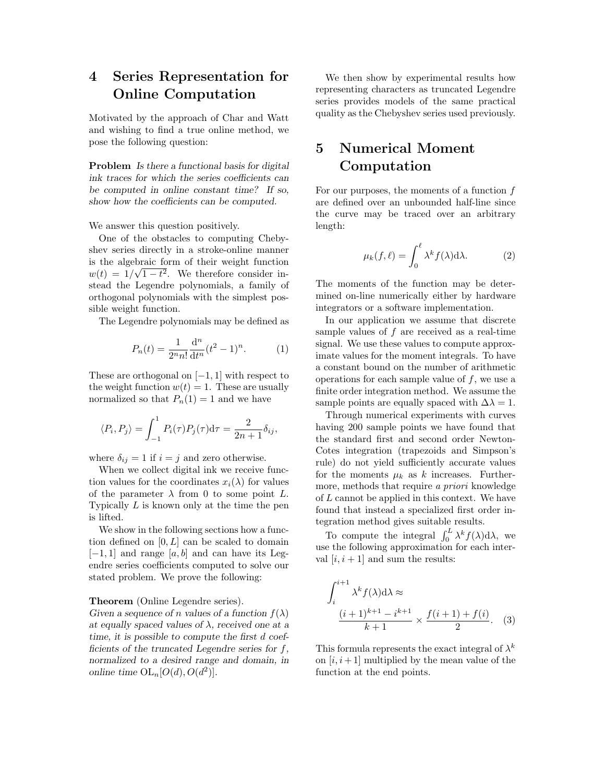## 4 Series Representation for Online Computation

Motivated by the approach of Char and Watt and wishing to find a true online method, we pose the following question:

Problem Is there a functional basis for digital ink traces for which the series coefficients can be computed in online constant time? If so, show how the coefficients can be computed.

We answer this question positively.

One of the obstacles to computing Chebyshev series directly in a stroke-online manner is the algebraic form of their weight function  $w(t) = 1/\sqrt{1-t^2}$ . We therefore consider instead the Legendre polynomials, a family of orthogonal polynomials with the simplest possible weight function.

The Legendre polynomials may be defined as

$$
P_n(t) = \frac{1}{2^n n!} \frac{d^n}{dt^n} (t^2 - 1)^n.
$$
 (1)

These are orthogonal on  $[-1, 1]$  with respect to the weight function  $w(t) = 1$ . These are usually normalized so that  $P_n(1) = 1$  and we have

$$
\langle P_i, P_j \rangle = \int_{-1}^1 P_i(\tau) P_j(\tau) d\tau = \frac{2}{2n+1} \delta_{ij},
$$

where  $\delta_{ij} = 1$  if  $i = j$  and zero otherwise.

When we collect digital ink we receive function values for the coordinates  $x_i(\lambda)$  for values of the parameter  $\lambda$  from 0 to some point L. Typically  $L$  is known only at the time the pen is lifted.

We show in the following sections how a function defined on  $[0, L]$  can be scaled to domain  $[-1, 1]$  and range  $[a, b]$  and can have its Legendre series coefficients computed to solve our stated problem. We prove the following:

### Theorem (Online Legendre series).

Given a sequence of n values of a function  $f(\lambda)$ at equally spaced values of  $\lambda$ , received one at a time, it is possible to compute the first d coefficients of the truncated Legendre series for f, normalized to a desired range and domain, in online time  $\mathrm{OL}_n[O(d),O(d^2)].$ 

We then show by experimental results how representing characters as truncated Legendre series provides models of the same practical quality as the Chebyshev series used previously.

## 5 Numerical Moment Computation

For our purposes, the moments of a function f are defined over an unbounded half-line since the curve may be traced over an arbitrary length:

$$
\mu_k(f,\ell) = \int_0^{\ell} \lambda^k f(\lambda) d\lambda.
$$
 (2)

The moments of the function may be determined on-line numerically either by hardware integrators or a software implementation.

In our application we assume that discrete sample values of  $f$  are received as a real-time signal. We use these values to compute approximate values for the moment integrals. To have a constant bound on the number of arithmetic operations for each sample value of  $f$ , we use a finite order integration method. We assume the sample points are equally spaced with  $\Delta\lambda = 1$ .

Through numerical experiments with curves having 200 sample points we have found that the standard first and second order Newton-Cotes integration (trapezoids and Simpson's rule) do not yield sufficiently accurate values for the moments  $\mu_k$  as k increases. Furthermore, methods that require a priori knowledge of L cannot be applied in this context. We have found that instead a specialized first order integration method gives suitable results.

To compute the integral  $\int_0^L \lambda^k f(\lambda) d\lambda$ , we use the following approximation for each interval  $[i, i + 1]$  and sum the results:

$$
\int_{i}^{i+1} \lambda^{k} f(\lambda) d\lambda \approx
$$

$$
\frac{(i+1)^{k+1} - i^{k+1}}{k+1} \times \frac{f(i+1) + f(i)}{2}.
$$
 (3)

This formula represents the exact integral of  $\lambda^k$ on  $[i, i+1]$  multiplied by the mean value of the function at the end points.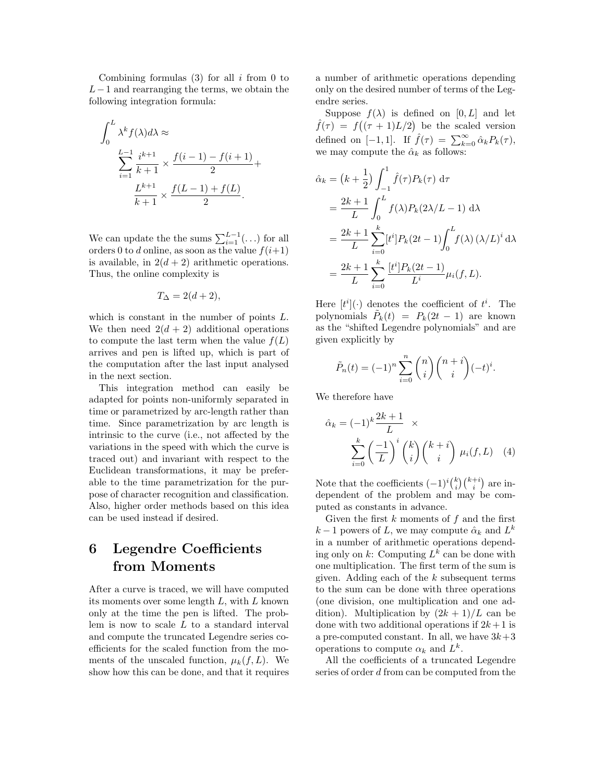Combining formulas  $(3)$  for all i from 0 to  $L-1$  and rearranging the terms, we obtain the following integration formula:

$$
\int_0^L \lambda^k f(\lambda) d\lambda \approx
$$
  

$$
\sum_{i=1}^{L-1} \frac{i^{k+1}}{k+1} \times \frac{f(i-1) - f(i+1)}{2} +
$$
  

$$
\frac{L^{k+1}}{k+1} \times \frac{f(L-1) + f(L)}{2}.
$$

We can update the the sums  $\sum_{i=1}^{L-1} (\ldots)$  for all orders 0 to d online, as soon as the value  $f(i+1)$ is available, in  $2(d+2)$  arithmetic operations. Thus, the online complexity is

$$
T_{\Delta} = 2(d+2),
$$

which is constant in the number of points L. We then need  $2(d+2)$  additional operations to compute the last term when the value  $f(L)$ arrives and pen is lifted up, which is part of the computation after the last input analysed in the next section.

This integration method can easily be adapted for points non-uniformly separated in time or parametrized by arc-length rather than time. Since parametrization by arc length is intrinsic to the curve (i.e., not affected by the variations in the speed with which the curve is traced out) and invariant with respect to the Euclidean transformations, it may be preferable to the time parametrization for the purpose of character recognition and classification. Also, higher order methods based on this idea can be used instead if desired.

## 6 Legendre Coefficients from Moments

After a curve is traced, we will have computed its moments over some length  $L$ , with  $L$  known only at the time the pen is lifted. The problem is now to scale L to a standard interval and compute the truncated Legendre series coefficients for the scaled function from the moments of the unscaled function,  $\mu_k(f, L)$ . We show how this can be done, and that it requires

a number of arithmetic operations depending only on the desired number of terms of the Legendre series.

Suppose  $f(\lambda)$  is defined on  $[0, L]$  and let  $\hat{f}(\tau) = f((\tau + 1)L/2)$  be the scaled version defined on [-1,1]. If  $\hat{f}(\tau) = \sum_{k=0}^{\infty} \hat{\alpha}_k P_k(\tau)$ , we may compute the  $\hat{\alpha}_k$  as follows:

$$
\hat{\alpha}_{k} = (k + \frac{1}{2}) \int_{-1}^{1} \hat{f}(\tau) P_{k}(\tau) d\tau \n= \frac{2k+1}{L} \int_{0}^{L} f(\lambda) P_{k} (2\lambda/L - 1) d\lambda \n= \frac{2k+1}{L} \sum_{i=0}^{k} [t^{i}] P_{k} (2t - 1) \int_{0}^{L} f(\lambda) (\lambda/L)^{i} d\lambda \n= \frac{2k+1}{L} \sum_{i=0}^{k} \frac{[t^{i}] P_{k} (2t - 1)}{L^{i}} \mu_{i}(f, L).
$$

Here  $[t^i](\cdot)$  denotes the coefficient of  $t^i$ . The polynomials  $\tilde{P}_k(t) = P_k(2t-1)$  are known as the "shifted Legendre polynomials" and are given explicitly by

$$
\tilde{P}_n(t) = (-1)^n \sum_{i=0}^n \binom{n}{i} \binom{n+i}{i} (-t)^i.
$$

We therefore have

$$
\hat{\alpha}_k = (-1)^k \frac{2k+1}{L} \times \sum_{i=0}^k \left(\frac{-1}{L}\right)^i \binom{k}{i} \binom{k+i}{i} \mu_i(f, L) \quad (4)
$$

Note that the coefficients  $(-1)^i {k \choose i} {k+i \choose i}$  are independent of the problem and may be computed as constants in advance.

Given the first  $k$  moments of  $f$  and the first  $k-1$  powers of L, we may compute  $\hat{\alpha}_k$  and  $L^k$ in a number of arithmetic operations depending only on  $k$ : Computing  $L^k$  can be done with one multiplication. The first term of the sum is given. Adding each of the  $k$  subsequent terms to the sum can be done with three operations (one division, one multiplication and one addition). Multiplication by  $(2k+1)/L$  can be done with two additional operations if  $2k+1$  is a pre-computed constant. In all, we have  $3k+3$ operations to compute  $\alpha_k$  and  $L^k$ .

All the coefficients of a truncated Legendre series of order d from can be computed from the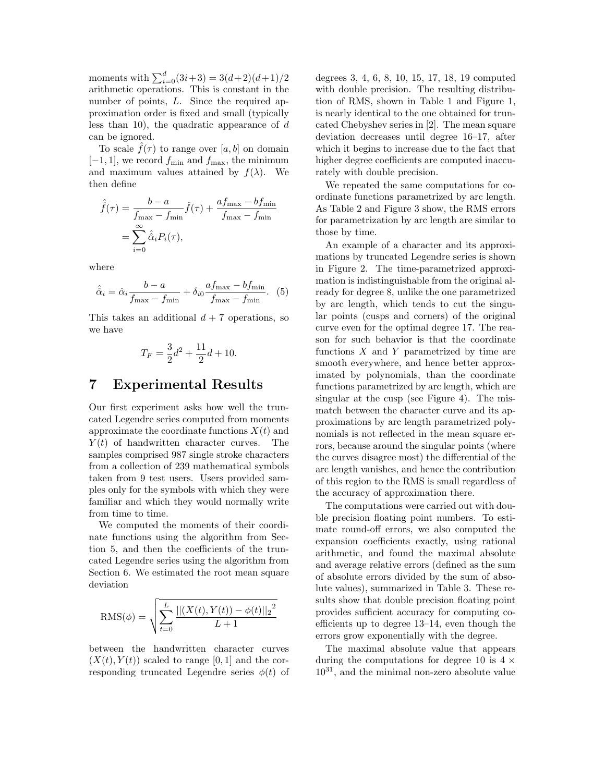moments with  $\sum_{i=0}^{d} (3i+3) = 3(d+2)(d+1)/2$ arithmetic operations. This is constant in the number of points, L. Since the required approximation order is fixed and small (typically less than 10), the quadratic appearance of  $d$ can be ignored.

To scale  $\tilde{f}(\tau)$  to range over  $[a, b]$  on domain  $[-1, 1]$ , we record  $f_{\text{min}}$  and  $f_{\text{max}}$ , the minimum and maximum values attained by  $f(\lambda)$ . We then define

$$
\hat{f}(\tau) = \frac{b - a}{f_{\text{max}} - f_{\text{min}}} \hat{f}(\tau) + \frac{af_{\text{max}} - bf_{\text{min}}}{f_{\text{max}} - f_{\text{min}}}
$$

$$
= \sum_{i=0}^{\infty} \hat{\alpha}_i P_i(\tau),
$$

where

$$
\hat{\hat{\alpha}}_i = \hat{\alpha}_i \frac{b-a}{f_{\text{max}} - f_{\text{min}}} + \delta_{i0} \frac{af_{\text{max}} - bf_{\text{min}}}{f_{\text{max}} - f_{\text{min}}}.
$$
 (5)

This takes an additional  $d + 7$  operations, so we have

$$
T_F = \frac{3}{2}d^2 + \frac{11}{2}d + 10.
$$

### 7 Experimental Results

Our first experiment asks how well the truncated Legendre series computed from moments approximate the coordinate functions  $X(t)$  and  $Y(t)$  of handwritten character curves. The samples comprised 987 single stroke characters from a collection of 239 mathematical symbols taken from 9 test users. Users provided samples only for the symbols with which they were familiar and which they would normally write from time to time.

We computed the moments of their coordinate functions using the algorithm from Section 5, and then the coefficients of the truncated Legendre series using the algorithm from Section 6. We estimated the root mean square deviation

$$
RMS(\phi) = \sqrt{\sum_{t=0}^{L} \frac{||(X(t), Y(t)) - \phi(t)||_2^2}{L+1}}
$$

between the handwritten character curves  $(X(t), Y(t))$  scaled to range [0, 1] and the corresponding truncated Legendre series  $\phi(t)$  of

degrees 3, 4, 6, 8, 10, 15, 17, 18, 19 computed with double precision. The resulting distribution of RMS, shown in Table 1 and Figure 1, is nearly identical to the one obtained for truncated Chebyshev series in [2]. The mean square deviation decreases until degree 16–17, after which it begins to increase due to the fact that higher degree coefficients are computed inaccurately with double precision.

We repeated the same computations for coordinate functions parametrized by arc length. As Table 2 and Figure 3 show, the RMS errors for parametrization by arc length are similar to those by time.

An example of a character and its approximations by truncated Legendre series is shown in Figure 2. The time-parametrized approximation is indistinguishable from the original already for degree 8, unlike the one parametrized by arc length, which tends to cut the singular points (cusps and corners) of the original curve even for the optimal degree 17. The reason for such behavior is that the coordinate functions  $X$  and  $Y$  parametrized by time are smooth everywhere, and hence better approximated by polynomials, than the coordinate functions parametrized by arc length, which are singular at the cusp (see Figure 4). The mismatch between the character curve and its approximations by arc length parametrized polynomials is not reflected in the mean square errors, because around the singular points (where the curves disagree most) the differential of the arc length vanishes, and hence the contribution of this region to the RMS is small regardless of the accuracy of approximation there.

The computations were carried out with double precision floating point numbers. To estimate round-off errors, we also computed the expansion coefficients exactly, using rational arithmetic, and found the maximal absolute and average relative errors (defined as the sum of absolute errors divided by the sum of absolute values), summarized in Table 3. These results show that double precision floating point provides sufficient accuracy for computing coefficients up to degree 13–14, even though the errors grow exponentially with the degree.

The maximal absolute value that appears during the computations for degree 10 is  $4 \times$  $10^{31}$ , and the minimal non-zero absolute value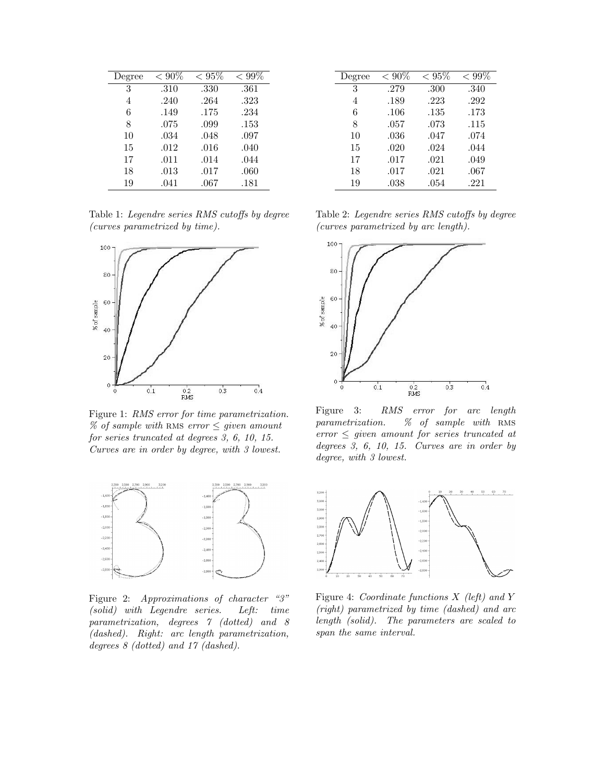| Degree | $< 90\%$ | $< 95\%$ | $< 99\%$ |
|--------|----------|----------|----------|
| 3      | .310     | .330     | .361     |
| 4      | .240     | .264     | .323     |
| 6      | .149     | .175     | .234     |
| 8      | .075     | .099     | .153     |
| 10     | .034     | .048     | .097     |
| 15     | .012     | .016     | .040     |
| 17     | .011     | .014     | .044     |
| 18     | .013     | .017     | .060     |
| 19     | .041     | .067     | .181     |

Table 1: Legendre series RMS cutoffs by degree (curves parametrized by time).



Figure 1: RMS error for time parametrization. % of sample with RMS error  $\leq$  given amount for series truncated at degrees 3, 6, 10, 15. Curves are in order by degree, with 3 lowest.



Figure 2: Approximations of character "3" (solid) with Legendre series. Left: time parametrization, degrees 7 (dotted) and 8 (dashed). Right: arc length parametrization, degrees 8 (dotted) and 17 (dashed).

| Degree | $< 90\%$ | ${}< 95\%$ | $< 99\%$ |
|--------|----------|------------|----------|
| 3      | .279     | .300       | .340     |
| 4      | .189     | .223       | .292     |
| 6      | .106     | .135       | .173     |
| 8      | .057     | .073       | .115     |
| 10     | .036     | .047       | .074     |
| 15     | .020     | .024       | .044     |
| 17     | .017     | .021       | .049     |
| 18     | .017     | .021       | .067     |
| 19     | .038     | .054       | .221     |

Table 2: Legendre series RMS cutoffs by degree (curves parametrized by arc length).



Figure 3: RMS error for arc length parametrization.  $\%$  of sample with RMS  $error \leq given$  amount for series truncated at degrees 3, 6, 10, 15. Curves are in order by degree, with 3 lowest.



Figure 4: Coordinate functions X (left) and Y (right) parametrized by time (dashed) and arc length (solid). The parameters are scaled to span the same interval.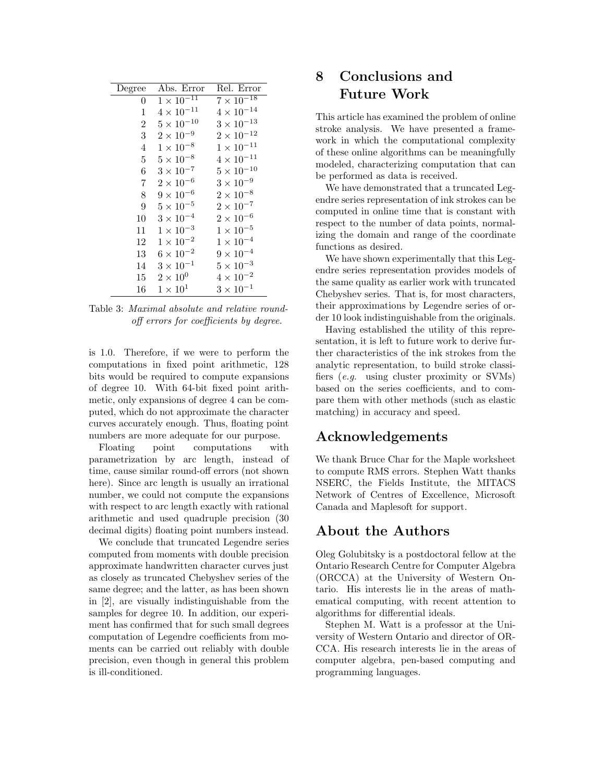| Degree | Abs. Error          | Rel. Error          |
|--------|---------------------|---------------------|
| 0      | $1 \times 10^{-11}$ | $7\times10^{-18}$   |
| 1      | $4 \times 10^{-11}$ | $4 \times 10^{-14}$ |
| 2      | $5 \times 10^{-10}$ | $3 \times 10^{-13}$ |
| 3      | $2 \times 10^{-9}$  | $2\times10^{-12}$   |
| 4      | $1 \times 10^{-8}$  | $1\times10^{-11}$   |
| 5      | $5 \times 10^{-8}$  | $4 \times 10^{-11}$ |
| 6      | $3 \times 10^{-7}$  | $5\times10^{-10}$   |
| 7      | $2 \times 10^{-6}$  | $3\times10^{-9}$    |
| 8      | $9 \times 10^{-6}$  | $2\times10^{-8}$    |
| 9      | $5 \times 10^{-5}$  | $2\times10^{-7}$    |
| 10     | $3 \times 10^{-4}$  | $2 \times 10^{-6}$  |
| 11     | $1 \times 10^{-3}$  | $1 \times 10^{-5}$  |
| 12     | $1 \times 10^{-2}$  | $1\times10^{-4}$    |
| 13     | $6 \times 10^{-2}$  | $9 \times 10^{-4}$  |
| 14     | $3 \times 10^{-1}$  | $5 \times 10^{-3}$  |
| 15     | $2\times10^{0}$     | $4\times10^{-2}$    |
| 16     | $1 \times 10^1$     | $3 \times 10^{-1}$  |
|        |                     |                     |

Table 3: Maximal absolute and relative roundoff errors for coefficients by degree.

is 1.0. Therefore, if we were to perform the computations in fixed point arithmetic, 128 bits would be required to compute expansions of degree 10. With 64-bit fixed point arithmetic, only expansions of degree 4 can be computed, which do not approximate the character curves accurately enough. Thus, floating point numbers are more adequate for our purpose.

Floating point computations with parametrization by arc length, instead of time, cause similar round-off errors (not shown here). Since arc length is usually an irrational number, we could not compute the expansions with respect to arc length exactly with rational arithmetic and used quadruple precision (30 decimal digits) floating point numbers instead.

We conclude that truncated Legendre series computed from moments with double precision approximate handwritten character curves just as closely as truncated Chebyshev series of the same degree; and the latter, as has been shown in [2], are visually indistinguishable from the samples for degree 10. In addition, our experiment has confirmed that for such small degrees computation of Legendre coefficients from moments can be carried out reliably with double precision, even though in general this problem is ill-conditioned.

## 8 Conclusions and Future Work

This article has examined the problem of online stroke analysis. We have presented a framework in which the computational complexity of these online algorithms can be meaningfully modeled, characterizing computation that can be performed as data is received.

We have demonstrated that a truncated Legendre series representation of ink strokes can be computed in online time that is constant with respect to the number of data points, normalizing the domain and range of the coordinate functions as desired.

We have shown experimentally that this Legendre series representation provides models of the same quality as earlier work with truncated Chebyshev series. That is, for most characters, their approximations by Legendre series of order 10 look indistinguishable from the originals.

Having established the utility of this representation, it is left to future work to derive further characteristics of the ink strokes from the analytic representation, to build stroke classifiers (e.g. using cluster proximity or SVMs) based on the series coefficients, and to compare them with other methods (such as elastic matching) in accuracy and speed.

## Acknowledgements

We thank Bruce Char for the Maple worksheet to compute RMS errors. Stephen Watt thanks NSERC, the Fields Institute, the MITACS Network of Centres of Excellence, Microsoft Canada and Maplesoft for support.

## About the Authors

Oleg Golubitsky is a postdoctoral fellow at the Ontario Research Centre for Computer Algebra (ORCCA) at the University of Western Ontario. His interests lie in the areas of mathematical computing, with recent attention to algorithms for differential ideals.

Stephen M. Watt is a professor at the University of Western Ontario and director of OR-CCA. His research interests lie in the areas of computer algebra, pen-based computing and programming languages.